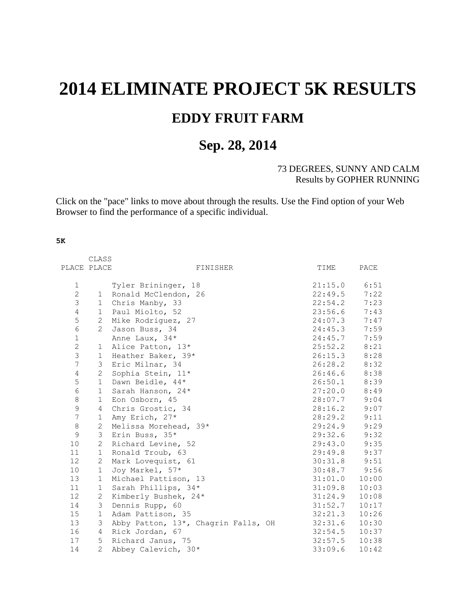## **2014 ELIMINATE PROJECT 5K RESULTS EDDY FRUIT FARM**

## **Sep. 28, 2014**

## 73 DEGREES, SUNNY AND CALM Results by GOPHER RUNNING

Click on the "pace" links to move about through the results. Use the Find option of your Web Browser to find the performance of a specific individual.

## **5K**

|                 | CLASS          |                                     |         |                |
|-----------------|----------------|-------------------------------------|---------|----------------|
| PLACE PLACE     |                | FINISHER                            | TIME    | PACE           |
|                 |                |                                     |         |                |
| $\mathbf 1$     |                | Tyler Brininger, 18                 | 21:15.0 | 6:51           |
| $\overline{c}$  | 1              | Ronald McClendon, 26                | 22:49.5 | 7:22           |
| 3               | 1              | Chris Manby, 33                     | 22:54.2 | 7:23           |
| 4               | $\mathbf 1$    | Paul Miolto, 52                     | 23:56.6 | 7:43           |
| 5               | 2              | Mike Rodriguez, 27                  | 24:07.3 | 7:47           |
| $\epsilon$      | $\overline{2}$ | Jason Buss, 34                      | 24:45.3 | 7:59           |
| $\mathbf 1$     |                | Anne Laux, 34*                      | 24:45.7 | 7:59           |
| $\overline{2}$  | $\mathbf{1}$   | Alice Patton, 13*                   | 25:52.2 | 8:21           |
| 3               | $\mathbf{1}$   | Heather Baker, 39*                  | 26:15.3 | 8:28           |
| $\overline{7}$  | 3              | Eric Milnar, 34                     | 26:28.2 | 8:32           |
| 4               | 2              | Sophia Stein, 11*                   | 26:46.6 | 8:38           |
| 5               | $\mathbf{1}$   | Dawn Beidle, 44*                    | 26:50.1 | 8:39           |
| $\epsilon$      | $\mathbf{1}$   | Sarah Hanson, 24*                   | 27:20.0 | 8:49           |
| 8               | $\mathbf 1$    | Eon Osborn, 45                      | 28:07.7 | 9:04           |
| 9               | 4              | Chris Grostic, 34                   | 28:16.2 | 9:07           |
| $7\phantom{.0}$ | $\mathbf{1}$   | Amy Erich, 27*                      | 28:29.2 | 9:11           |
| $\,8\,$         | $\mathbf{2}$   | Melissa Morehead, 39*               | 29:24.9 | 9:29           |
| $\mathcal{G}$   | 3              | Erin Buss, 35*                      | 29:32.6 | 9:32           |
| 10              | 2              | Richard Levine, 52                  | 29:43.0 | 9:35           |
| 11              | $\mathbf{1}$   | Ronald Troub, 63                    | 29:49.8 | 9:37           |
| 12 <sup>°</sup> | 2              | Mark Lovequist, 61                  | 30:31.8 | 9:51           |
| 10              | $\mathbf{1}$   | Joy Markel, 57*                     |         | $30:48.7$ 9:56 |
| 13              | $\mathbf{1}$   | Michael Pattison, 13                | 31:01.0 | 10:00          |
| 11              | $\mathbf 1$    | Sarah Phillips, 34*                 | 31:09.8 | 10:03          |
| 12              | 2              | Kimberly Bushek, 24*                | 31:24.9 | 10:08          |
| 14              | 3              | Dennis Rupp, 60                     | 31:52.7 | 10:17          |
| 15              | $\mathbf{1}$   | Adam Pattison, 35                   | 32:21.3 | 10:26          |
| 13              | 3              | Abby Patton, 13*, Chagrin Falls, OH | 32:31.6 | 10:30          |
| 16              | 4              | Rick Jordan, 67                     | 32:54.5 | 10:37          |
| 17              | 5              | Richard Janus, 75                   | 32:57.5 | 10:38          |
| 14              | $\mathbf{2}$   | Abbey Calevich, 30*                 | 33:09.6 | 10:42          |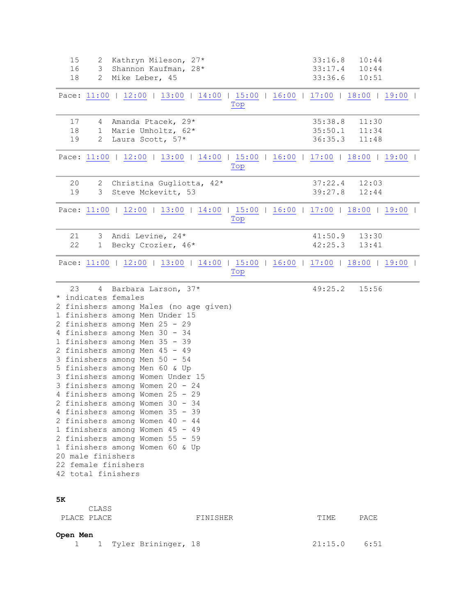<span id="page-1-3"></span><span id="page-1-2"></span><span id="page-1-1"></span><span id="page-1-0"></span>

| 15<br>16<br>18                                                                              | 2 Kathryn Mileson, 27*<br>3 Shannon Kaufman, 28*<br>2 Mike Leber, 45                                                                                                                                                                                                                                                                                                                                                                                                                                                                                                                                                                | 33:16.8<br>33:17.4<br>33:36.6 | 10:44<br>10:44<br>10:51 |  |
|---------------------------------------------------------------------------------------------|-------------------------------------------------------------------------------------------------------------------------------------------------------------------------------------------------------------------------------------------------------------------------------------------------------------------------------------------------------------------------------------------------------------------------------------------------------------------------------------------------------------------------------------------------------------------------------------------------------------------------------------|-------------------------------|-------------------------|--|
|                                                                                             | Pace: 11:00   12:00   13:00   14:00   15:00   16:00   17:00   18:00   19:00  <br>Top                                                                                                                                                                                                                                                                                                                                                                                                                                                                                                                                                |                               |                         |  |
| 17<br>18<br>19                                                                              | 4 Amanda Ptacek, 29*<br>1 Marie Umholtz, 62*<br>2 Laura Scott, 57*                                                                                                                                                                                                                                                                                                                                                                                                                                                                                                                                                                  | 35:38.8<br>35:50.1<br>36:35.3 | 11:30<br>11:34<br>11:48 |  |
|                                                                                             | Pace: 11:00   12:00   13:00   14:00   15:00   16:00   17:00   18:00   19:00  <br>Top                                                                                                                                                                                                                                                                                                                                                                                                                                                                                                                                                |                               |                         |  |
| 20<br>19                                                                                    | 2 Christina Gugliotta, 42*<br>3 Steve Mckevitt, 53                                                                                                                                                                                                                                                                                                                                                                                                                                                                                                                                                                                  | 37:22.4<br>39:27.8            | 12:03<br>12:44          |  |
|                                                                                             | Pace: 11:00   12:00   13:00   14:00   15:00   16:00   17:00   18:00   19:00  <br>$Top$                                                                                                                                                                                                                                                                                                                                                                                                                                                                                                                                              |                               |                         |  |
| 21<br>22                                                                                    | 3 Andi Levine, 24*<br>1 Becky Crozier, 46*                                                                                                                                                                                                                                                                                                                                                                                                                                                                                                                                                                                          | 41:50.9<br>42:25.3            | 13:30<br>13:41          |  |
|                                                                                             | Pace: 11:00   12:00   13:00   14:00   15:00   16:00   17:00   18:00   19:00  <br>Top                                                                                                                                                                                                                                                                                                                                                                                                                                                                                                                                                |                               |                         |  |
| 23<br>* indicates females<br>20 male finishers<br>22 female finishers<br>42 total finishers | 4 Barbara Larson, 37*<br>2 finishers among Males (no age given)<br>1 finishers among Men Under 15<br>2 finishers among Men 25 - 29<br>4 finishers among Men 30 - 34<br>1 finishers among Men 35 - 39<br>2 finishers among Men 45 - 49<br>3 finishers among Men 50 - 54<br>5 finishers among Men 60 & Up<br>3 finishers among Women Under 15<br>3 finishers among Women 20 - 24<br>4 finishers among Women 25 - 29<br>2 finishers among Women 30 - 34<br>4 finishers among Women 35 - 39<br>2 finishers among Women 40 - 44<br>1 finishers among Women 45 - 49<br>2 finishers among Women 55 - 59<br>1 finishers among Women 60 & Up | 49:25.2                       | 15:56                   |  |
| 5К<br>CLASS<br>PLACE PLACE                                                                  | FINISHER                                                                                                                                                                                                                                                                                                                                                                                                                                                                                                                                                                                                                            | TIME                          | PACE                    |  |
| Open Men<br>1                                                                               | 1 Tyler Brininger, 18                                                                                                                                                                                                                                                                                                                                                                                                                                                                                                                                                                                                               | 21:15.0                       | 6:51                    |  |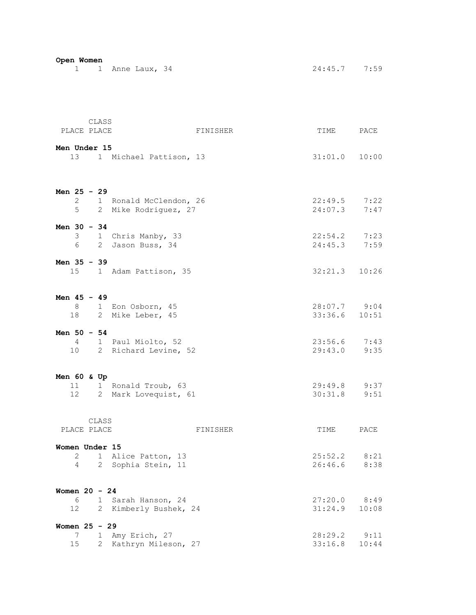| Open Women      |                 |       |                           |          |                   |       |
|-----------------|-----------------|-------|---------------------------|----------|-------------------|-------|
|                 |                 |       | 1 1 Anne Laux, 34         |          | $24:45.7$ 7:59    |       |
|                 |                 |       |                           |          |                   |       |
|                 |                 |       |                           |          |                   |       |
|                 |                 |       |                           |          |                   |       |
|                 |                 |       |                           |          |                   |       |
|                 |                 |       |                           |          |                   |       |
|                 |                 |       |                           |          |                   |       |
|                 |                 | CLASS |                           |          |                   |       |
|                 | PLACE PLACE     |       |                           | FINISHER | TIME PACE         |       |
|                 |                 |       |                           |          |                   |       |
| Men Under 15    |                 |       |                           |          |                   |       |
|                 |                 |       | 13 1 Michael Pattison, 13 |          | $31:01.0$ $10:00$ |       |
|                 |                 |       |                           |          |                   |       |
|                 |                 |       |                           |          |                   |       |
|                 |                 |       |                           |          |                   |       |
| Men $25 - 29$   |                 |       |                           |          |                   |       |
|                 | $\overline{2}$  |       | 1 Ronald McClendon, 26    |          | $22:49.5$ 7:22    |       |
|                 | 5               |       | 2 Mike Rodriguez, 27      |          | 24:07.3 7:47      |       |
|                 |                 |       |                           |          |                   |       |
| Men $30 - 34$   |                 |       |                           |          |                   |       |
|                 |                 |       | 3 1 Chris Manby, 33       |          | $22:54.2$ 7:23    |       |
|                 | 6               |       |                           |          | 24:45.3           |       |
|                 |                 |       | 2 Jason Buss, 34          |          |                   | 7:59  |
|                 |                 |       |                           |          |                   |       |
| Men 35 - 39     |                 |       |                           |          |                   |       |
|                 | 15              |       | 1 Adam Pattison, 35       |          | $32:21.3$ $10:26$ |       |
|                 |                 |       |                           |          |                   |       |
|                 |                 |       |                           |          |                   |       |
| Men $45 - 49$   |                 |       |                           |          |                   |       |
|                 |                 |       | 8 1 Eon Osborn, 45        |          | 28:07.7 9:04      |       |
|                 |                 |       | 18 2 Mike Leber, 45       |          | $33:36.6$ 10:51   |       |
|                 |                 |       |                           |          |                   |       |
| Men $50 - 54$   |                 |       |                           |          |                   |       |
|                 |                 |       |                           |          |                   |       |
|                 |                 |       | 4 1 Paul Miolto, 52       |          | $23:56.6$ 7:43    |       |
|                 |                 |       | 10 2 Richard Levine, 52   |          | 29:43.0           | 9:35  |
|                 |                 |       |                           |          |                   |       |
|                 |                 |       |                           |          |                   |       |
| Men $60$ & Up   |                 |       |                           |          |                   |       |
|                 | 11              |       | 1 Ronald Troub, 63        |          | $29:49.8$ 9:37    |       |
|                 | 12              |       | 2 Mark Lovequist, 61      |          | 30:31.8           | 9:51  |
|                 |                 |       |                           |          |                   |       |
|                 |                 |       |                           |          |                   |       |
|                 |                 | CLASS |                           |          |                   |       |
|                 |                 |       |                           |          |                   |       |
|                 | PLACE PLACE     |       |                           | FINISHER | TIME              | PACE  |
|                 |                 |       |                           |          |                   |       |
| Women Under 15  |                 |       |                           |          |                   |       |
|                 | 2               |       | 1 Alice Patton, 13        |          | 25:52.2           | 8:21  |
|                 | 4               |       | 2 Sophia Stein, 11        |          | 26:46.6           | 8:38  |
|                 |                 |       |                           |          |                   |       |
|                 |                 |       |                           |          |                   |       |
| Women $20 - 24$ |                 |       |                           |          |                   |       |
|                 | 6               |       | 1 Sarah Hanson, 24        |          | 27:20.0           | 8:49  |
|                 | 12              |       | 2 Kimberly Bushek, 24     |          | 31:24.9           | 10:08 |
|                 |                 |       |                           |          |                   |       |
| Women 25 - 29   |                 |       |                           |          |                   |       |
|                 |                 |       |                           |          |                   |       |
|                 | 7               |       | 1 Amy Erich, 27           |          | 28:29.2           | 9:11  |
|                 | 15 <sub>1</sub> |       | 2 Kathryn Mileson, 27     |          | 33:16.8           | 10:44 |